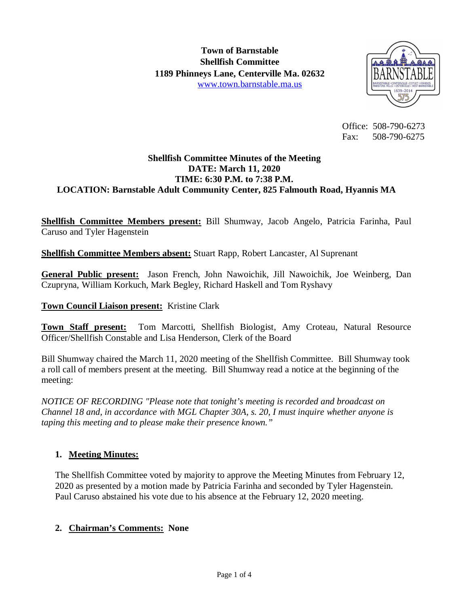

 Office: 508-790-6273 Fax: 508-790-6275

### **Shellfish Committee Minutes of the Meeting DATE: March 11, 2020 TIME: 6:30 P.M. to 7:38 P.M. LOCATION: Barnstable Adult Community Center, 825 Falmouth Road, Hyannis MA**

**Shellfish Committee Members present:** Bill Shumway, Jacob Angelo, Patricia Farinha, Paul Caruso and Tyler Hagenstein

**Shellfish Committee Members absent:** Stuart Rapp, Robert Lancaster, Al Suprenant

**General Public present:** Jason French, John Nawoichik, Jill Nawoichik, Joe Weinberg, Dan Czupryna, William Korkuch, Mark Begley, Richard Haskell and Tom Ryshavy

## **Town Council Liaison present:** Kristine Clark

**Town Staff present:** Tom Marcotti, Shellfish Biologist, Amy Croteau, Natural Resource Officer/Shellfish Constable and Lisa Henderson, Clerk of the Board

Bill Shumway chaired the March 11, 2020 meeting of the Shellfish Committee. Bill Shumway took a roll call of members present at the meeting. Bill Shumway read a notice at the beginning of the meeting:

*NOTICE OF RECORDING "Please note that tonight's meeting is recorded and broadcast on Channel 18 and, in accordance with MGL Chapter 30A, s. 20, I must inquire whether anyone is taping this meeting and to please make their presence known."*

## **1. Meeting Minutes:**

The Shellfish Committee voted by majority to approve the Meeting Minutes from February 12, 2020 as presented by a motion made by Patricia Farinha and seconded by Tyler Hagenstein. Paul Caruso abstained his vote due to his absence at the February 12, 2020 meeting.

## **2. Chairman's Comments: None**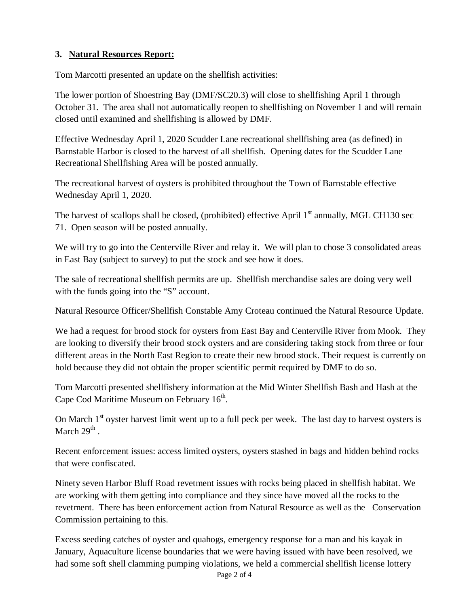# **3. Natural Resources Report:**

Tom Marcotti presented an update on the shellfish activities:

The lower portion of Shoestring Bay (DMF/SC20.3) will close to shellfishing April 1 through October 31. The area shall not automatically reopen to shellfishing on November 1 and will remain closed until examined and shellfishing is allowed by DMF.

Effective Wednesday April 1, 2020 Scudder Lane recreational shellfishing area (as defined) in Barnstable Harbor is closed to the harvest of all shellfish. Opening dates for the Scudder Lane Recreational Shellfishing Area will be posted annually.

The recreational harvest of oysters is prohibited throughout the Town of Barnstable effective Wednesday April 1, 2020.

The harvest of scallops shall be closed, (prohibited) effective April  $1<sup>st</sup>$  annually, MGL CH130 sec 71. Open season will be posted annually.

We will try to go into the Centerville River and relay it. We will plan to chose 3 consolidated areas in East Bay (subject to survey) to put the stock and see how it does.

The sale of recreational shellfish permits are up. Shellfish merchandise sales are doing very well with the funds going into the "S" account.

Natural Resource Officer/Shellfish Constable Amy Croteau continued the Natural Resource Update.

We had a request for brood stock for oysters from East Bay and Centerville River from Mook. They are looking to diversify their brood stock oysters and are considering taking stock from three or four different areas in the North East Region to create their new brood stock. Their request is currently on hold because they did not obtain the proper scientific permit required by DMF to do so.

Tom Marcotti presented shellfishery information at the Mid Winter Shellfish Bash and Hash at the Cape Cod Maritime Museum on February  $16<sup>th</sup>$ .

On March 1<sup>st</sup> oyster harvest limit went up to a full peck per week. The last day to harvest oysters is March  $29^{\text{th}}$  .

Recent enforcement issues: access limited oysters, oysters stashed in bags and hidden behind rocks that were confiscated.

Ninety seven Harbor Bluff Road revetment issues with rocks being placed in shellfish habitat. We are working with them getting into compliance and they since have moved all the rocks to the revetment. There has been enforcement action from Natural Resource as well as the Conservation Commission pertaining to this.

Excess seeding catches of oyster and quahogs, emergency response for a man and his kayak in January, Aquaculture license boundaries that we were having issued with have been resolved, we had some soft shell clamming pumping violations, we held a commercial shellfish license lottery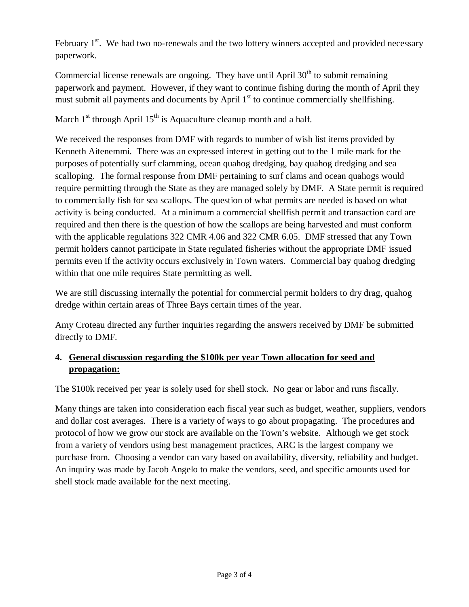February  $1<sup>st</sup>$ . We had two no-renewals and the two lottery winners accepted and provided necessary paperwork.

Commercial license renewals are ongoing. They have until April  $30<sup>th</sup>$  to submit remaining paperwork and payment. However, if they want to continue fishing during the month of April they must submit all payments and documents by April  $1<sup>st</sup>$  to continue commercially shellfishing.

March  $1<sup>st</sup>$  through April  $15<sup>th</sup>$  is Aquaculture cleanup month and a half.

We received the responses from DMF with regards to number of wish list items provided by Kenneth Aitenemmi. There was an expressed interest in getting out to the 1 mile mark for the purposes of potentially surf clamming, ocean quahog dredging, bay quahog dredging and sea scalloping. The formal response from DMF pertaining to surf clams and ocean quahogs would require permitting through the State as they are managed solely by DMF. A State permit is required to commercially fish for sea scallops. The question of what permits are needed is based on what activity is being conducted. At a minimum a commercial shellfish permit and transaction card are required and then there is the question of how the scallops are being harvested and must conform with the applicable regulations 322 CMR 4.06 and 322 CMR 6.05. DMF stressed that any Town permit holders cannot participate in State regulated fisheries without the appropriate DMF issued permits even if the activity occurs exclusively in Town waters. Commercial bay quahog dredging within that one mile requires State permitting as well.

We are still discussing internally the potential for commercial permit holders to dry drag, quahog dredge within certain areas of Three Bays certain times of the year.

Amy Croteau directed any further inquiries regarding the answers received by DMF be submitted directly to DMF.

# **4. General discussion regarding the \$100k per year Town allocation for seed and propagation:**

The \$100k received per year is solely used for shell stock. No gear or labor and runs fiscally.

Many things are taken into consideration each fiscal year such as budget, weather, suppliers, vendors and dollar cost averages. There is a variety of ways to go about propagating. The procedures and protocol of how we grow our stock are available on the Town's website. Although we get stock from a variety of vendors using best management practices, ARC is the largest company we purchase from. Choosing a vendor can vary based on availability, diversity, reliability and budget. An inquiry was made by Jacob Angelo to make the vendors, seed, and specific amounts used for shell stock made available for the next meeting.